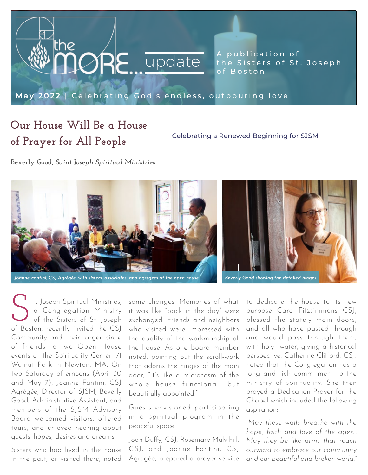

A publication of the Sisters of St. Joseph

[May 2022 | Celebrating God's endless, outpouring love](https://www.csjboston.org/news-events/the-more-updates/)

### **Our House Will Be a House of Prayer for All People**

Celebrating a Renewed Beginning for SJSM

**Beverly Good,** *Saint Joseph Spiritual Ministries*



t. Joseph Spiritual Ministries, a Congregation Ministry of the Sisters of St. Joseph **C** t. Joseph Spiritual Ministries,<br>
a Congregation Ministry<br>
of the Sisters of St. Joseph<br>
of Boston, recently invited the CSJ Community and their larger circle of friends to two Open House events at the Spirituality Center, 71 Walnut Park in Newton, MA. On two Saturday afternoons (April 30 and May 7), Joanne Fantini, CSJ Agrégée, Director of SJSM, Beverly Good, Administrative Assistant, and members of the SJSM Advisory Board welcomed visitors, offered tours, and enjoyed hearing about guests' hopes, desires and dreams.

Sisters who had lived in the house in the past, or visited there, noted

some changes. Memories of what it was like "back in the day" were exchanged. Friends and neighbors who visited were impressed with the quality of the workmanship of the house. As one board member noted, pointing out the scroll-work that adorns the hinges of the main door, "It's like a microcosm of the whole house—functional, but beautifully appointed!"

Guests envisioned participating in a spiritual program in the peaceful space.

Joan Duffy, CSJ, Rosemary Mulvihill, CSJ, and Joanne Fantini, CSJ Agrégée, prepared a prayer service

to dedicate the house to its new purpose. Carol Fitzsimmons, CSJ, blessed the stately main doors, and all who have passed through and would pass through them, with holy water, giving a historical perspective. Catherine Clifford, CSJ, noted that the Congregation has a long and rich commitment to the ministry of spirituality. She then prayed a Dedication Prayer for the Chapel which included the following aspiration:

*"May these walls breathe with the hope, faith and love of the ages… May they be like arms that reach outward to embrace our community and our beautiful and broken world."*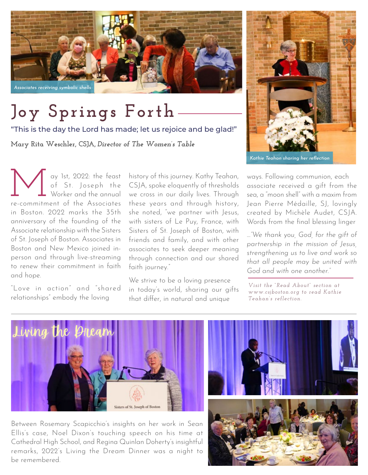

# **Joy Springs Forth**

"This is the day the Lord has made; let us rejoice and be glad!"

**Mary Rita Weschler, CSJA,** *Director of The Women's Table*



*Kathie Teahan sharing her reflection*

We are the feast<br>of St. Joseph the<br>Worker and the annual<br>recommitment of the Associates of St. Joseph the Worker and the annual re-commitment of the Associates in Boston. 2022 marks the 35th anniversary of the founding of the Associate relationship with the Sisters of St. Joseph of Boston. Associates in Boston and New Mexico joined inperson and through live-streaming to renew their commitment in faith and hope.

"Love in action" and "shared relationships" embody the loving

history of this journey. Kathy Teahan, CSJA, spoke eloquently of thresholds we cross in our daily lives. Through these years and through history, she noted, "we partner with Jesus, with sisters of Le Puy, France, with Sisters of St. Joseph of Boston, with friends and family, and with other associates to seek deeper meaning through connection and our shared faith journey."

We strive to be a loving presence in today's world, sharing our gifts that differ, in natural and unique

ways. Following communion, each associate received a gift from the sea, a "moon shell" with a maxim from Jean Pierre Médaille, SJ, lovingly created by Michèle Audet, CSJA. Words from the final blessing linger

*…"We thank you, God, for the gift of partnership in the mission of Jesus, strengthening us to live and work so that all people may be united with God and with one another."* 

*Visit the "Read About" section at [www.csjboston.org to read Kathie](https://www.csjboston.org/associate/)  Teahan's reflection.*



Between Rosemary Scapicchio's insights on her work in Sean Ellis's case, Noel Dixon's touching speech on his time at Cathedral High School, and Regina Quinlan Doherty's insightful remarks, 2022's Living the Dream Dinner was a night to be remembered.

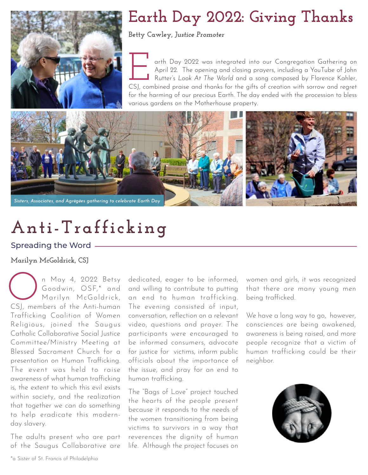

## **Earth Day 2022: Giving Thanks**

**Betty Cawley,** *Justice Promoter*

arth Day 2022 was integrated into our Congregation Gathering on April 22. The opening and closing prayers, including a YouTube of John Rutter's *Look At The World* and a song composed by Florence Kahler, The opening and closing prayers, including a YouTube of John<br>Rutter's Look At The World and a song composed by Florence Kahler,<br>CSJ, combined praise and thanks for the gifts of creation with sorrow and regret for the harming of our precious Earth. The day ended with the procession to bless various gardens on the Motherhouse property.



# **Anti-Trafficking**

#### Spreading the Word

#### **Marilyn McGoldrick, CSJ**

n May 4, 2022 Betsy Goodwin, OSF,\* and Marilyn McGoldrick, n May 4, 2022 Betsy<br>Goodwin, OSF,\* and<br>Marilyn McGoldrick,<br>CSJ, members of the Anti-human Trafficking Coalition of Women Religious, joined the Saugus Catholic Collaborative Social Justice Committee/Ministry Meeting at Blessed Sacrament Church for a presentation on Human Trafficking. The event was held to raise awareness of what human trafficking is, the extent to which this evil exists within society, and the realization that together we can do something to help eradicate this modernday slavery.

The adults present who are part of the Saugus Collaborative are

dedicated, eager to be informed, and willing to contribute to putting an end to human trafficking. The evening consisted of input, conversation, reflection on a relevant video, questions and prayer. The participants were encouraged to be informed consumers, advocate for justice for victims, inform public officials about the importance of the issue, and pray for an end to human trafficking.

The "Bags of Love" project touched the hearts of the people present because it responds to the needs of the women transitioning from being victims to survivors in a way that reverences the dignity of human life. Although the project focuses on

women and girls, it was recognized that there are many young men being trafficked.

We have a long way to go, however, consciences are being awakened, awareness is being raised, and more people recognize that a victim of human trafficking could be their neighbor.